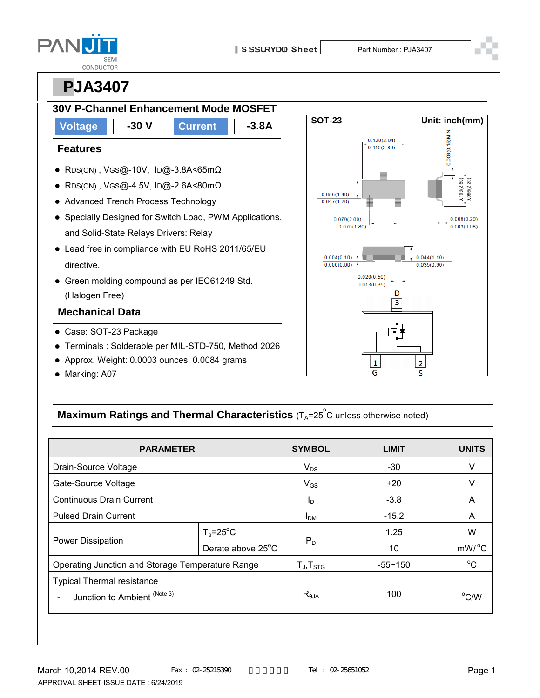

Ğ

# **PPJA3407**



• Marking: A07

### **Maximum Ratings and Thermal Characteristics** (T<sub>A</sub>=25<sup>°</sup>C unless otherwise noted)

| <b>PARAMETER</b>                                         |                    | <b>SYMBOL</b>          | <b>LIMIT</b> | <b>UNITS</b>     |
|----------------------------------------------------------|--------------------|------------------------|--------------|------------------|
| Drain-Source Voltage                                     |                    | $V_{DS}$               | $-30$        | v                |
| Gate-Source Voltage                                      |                    | $V_{GS}$               | ±20          | v                |
| <b>Continuous Drain Current</b>                          |                    | I <sub>D</sub>         | $-3.8$       | A                |
| <b>Pulsed Drain Current</b>                              |                    | <b>I</b> <sub>DM</sub> | $-15.2$      | A                |
| Power Dissipation                                        | $T_a = 25^\circ C$ | $P_D$                  | 1.25         | W                |
|                                                          | Derate above 25°C  |                        | 10           | $mW/{}^{\circ}C$ |
| Operating Junction and Storage Temperature Range         |                    | $T_{J}$ , $T_{STG}$    | $-55 - 150$  | $^{\circ}C$      |
| <b>Typical Thermal resistance</b>                        |                    |                        |              |                  |
| Junction to Ambient (Note 3)<br>$\overline{\phantom{a}}$ |                    | $R_{\theta$ JA         | 100          | $^{\circ}$ C/W   |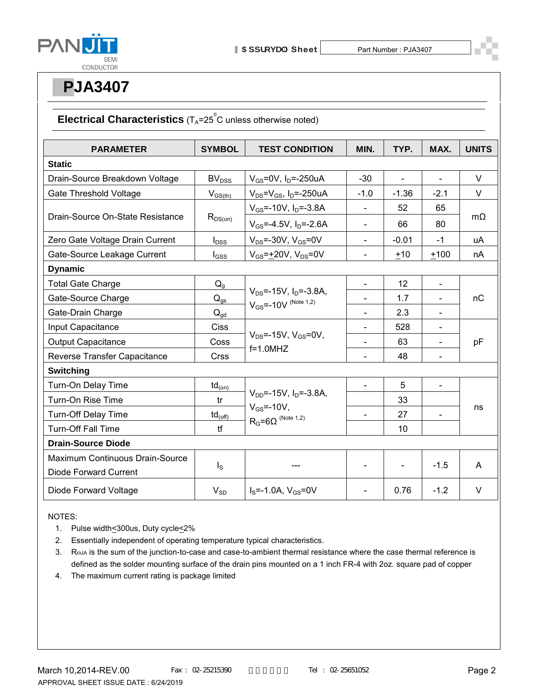

### **Electrical Characteristics** (T<sub>A</sub>=25<sup>°</sup>C unless otherwise noted)

| <b>PARAMETER</b>                 | <b>SYMBOL</b>             | <b>TEST CONDITION</b>                                                          | MIN.           | TYP.              | MAX.           | <b>UNITS</b> |  |  |
|----------------------------------|---------------------------|--------------------------------------------------------------------------------|----------------|-------------------|----------------|--------------|--|--|
| <b>Static</b>                    |                           |                                                                                |                |                   |                |              |  |  |
| Drain-Source Breakdown Voltage   | BV <sub>DSS</sub>         | $V_{GS}$ =0V, I <sub>D</sub> =-250uA                                           | $-30$          | $\overline{a}$    | $\overline{a}$ | $\vee$       |  |  |
| Gate Threshold Voltage           | $V_{GS(th)}$              | $V_{DS}$ = $V_{GS}$ , I <sub>D</sub> =-250uA                                   | $-1.0$         | $-1.36$           | $-2.1$         | $\vee$       |  |  |
| Drain-Source On-State Resistance | $R_{DS(on)}$              | $V_{GS}$ =-10V, $I_D$ =-3.8A                                                   |                | 52                | 65             | $m\Omega$    |  |  |
|                                  |                           | $V_{GS} = -4.5V$ , $I_D = -2.6A$                                               | $\blacksquare$ | 66                | 80             |              |  |  |
| Zero Gate Voltage Drain Current  | $I_{DSS}$                 | $V_{DS}$ =-30V, $V_{GS}$ =0V                                                   | $\blacksquare$ | $-0.01$           | $-1$           | uA           |  |  |
| Gate-Source Leakage Current      | $I_{GSS}$                 | $V_{GS}$ =+20V, $V_{DS}$ =0V                                                   | $\blacksquare$ | $+10$             | $+100$         | nA           |  |  |
| <b>Dynamic</b>                   |                           |                                                                                |                |                   |                |              |  |  |
| <b>Total Gate Charge</b>         | $Q_q$                     | $V_{DS}$ =-15V, $I_{D}$ =-3.8A,<br>$V_{GS}$ =-10V (Note 1,2)                   | $\blacksquare$ | $12 \overline{ }$ | $\blacksquare$ | nC           |  |  |
| Gate-Source Charge               | $\mathsf{Q}_{\text{gs}}$  |                                                                                |                | 1.7               |                |              |  |  |
| Gate-Drain Charge                | $Q_{gd}$                  |                                                                                | $\blacksquare$ | 2.3               | $\blacksquare$ |              |  |  |
| Input Capacitance                | Ciss                      | $V_{DS}$ =-15V, $V_{GS}$ =0V,<br>$f=1.0$ MHZ                                   | $\blacksquare$ | 528               | $\blacksquare$ | pF           |  |  |
| <b>Output Capacitance</b>        | Coss                      |                                                                                | $\blacksquare$ | 63                | $\blacksquare$ |              |  |  |
| Reverse Transfer Capacitance     | <b>Crss</b>               |                                                                                | $\overline{a}$ | 48                | $\blacksquare$ |              |  |  |
| <b>Switching</b>                 |                           |                                                                                |                |                   |                |              |  |  |
| Turn-On Delay Time               | $\mathsf{td}_{\sf{(on)}}$ |                                                                                |                | 5                 | $\blacksquare$ |              |  |  |
| Turn-On Rise Time                | tr                        | $V_{DD}$ =-15V, $I_D$ =-3.8A,<br>$V_{GS}$ =-10V,<br>$R_G = 6\Omega$ (Note 1,2) |                | 33                |                | ns           |  |  |
| <b>Turn-Off Delay Time</b>       | $td_{(off)}$              |                                                                                | $\blacksquare$ | 27                |                |              |  |  |
| <b>Turn-Off Fall Time</b>        | tf                        |                                                                                |                | 10                |                |              |  |  |
| <b>Drain-Source Diode</b>        |                           |                                                                                |                |                   |                |              |  |  |
| Maximum Continuous Drain-Source  | $I_{\rm S}$               |                                                                                |                |                   | $-1.5$         | A            |  |  |
| <b>Diode Forward Current</b>     |                           |                                                                                |                |                   |                |              |  |  |
| Diode Forward Voltage            | $V_{SD}$                  | $I_s = -1.0A$ , $V_{GS} = 0V$                                                  |                | 0.76              | $-1.2$         | $\vee$       |  |  |

NOTES:

- 1. Pulse width<a>S00us, Duty cycle<<a>2%
- 2. Essentially independent of operating temperature typical characteristics.
- 3. Roja is the sum of the junction-to-case and case-to-ambient thermal resistance where the case thermal reference is defined as the solder mounting surface of the drain pins mounted on a 1 inch FR-4 with 2oz. square pad of copper
- 4. The maximum current rating is package limited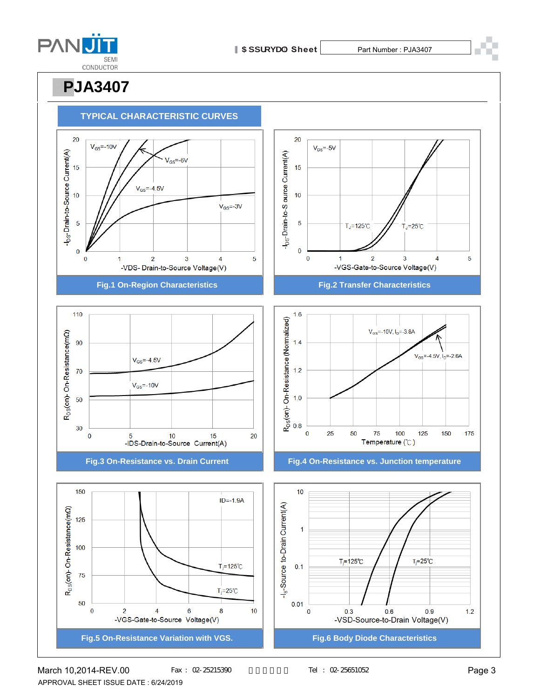

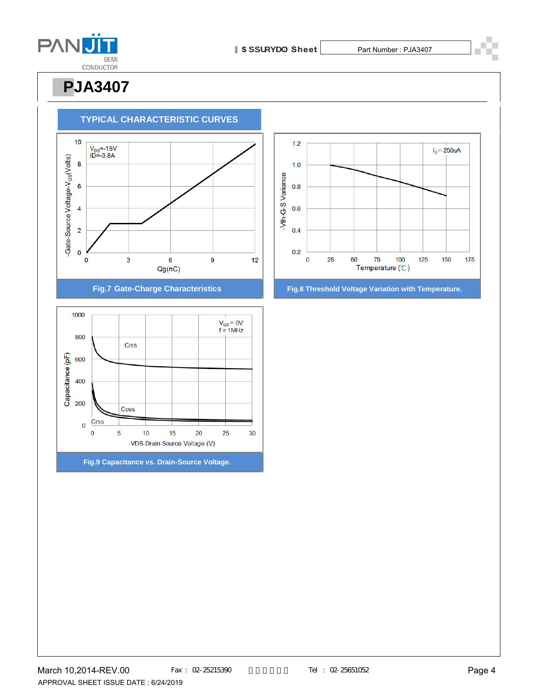





**Fig.9 Capacitance vs. Drain-Source Voltage.**



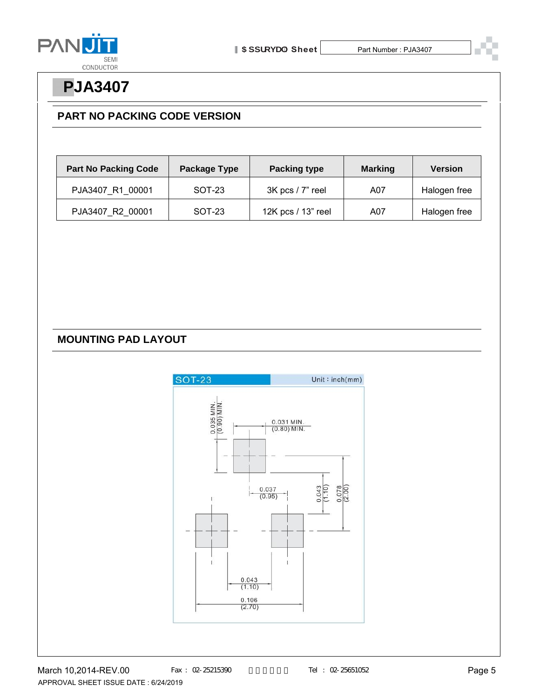

### **PART NO PACKING CODE VERSION**

| <b>Part No Packing Code</b> | Package Type | <b>Packing type</b> | <b>Marking</b> | <b>Version</b> |
|-----------------------------|--------------|---------------------|----------------|----------------|
| PJA3407 R1 00001            | SOT-23       | 3K pcs / 7" reel    | A07            | Halogen free   |
| PJA3407 R2 00001            | SOT-23       | 12K pcs / 13" reel  | A07            | Halogen free   |

### **MOUNTING PAD LAYOUT**